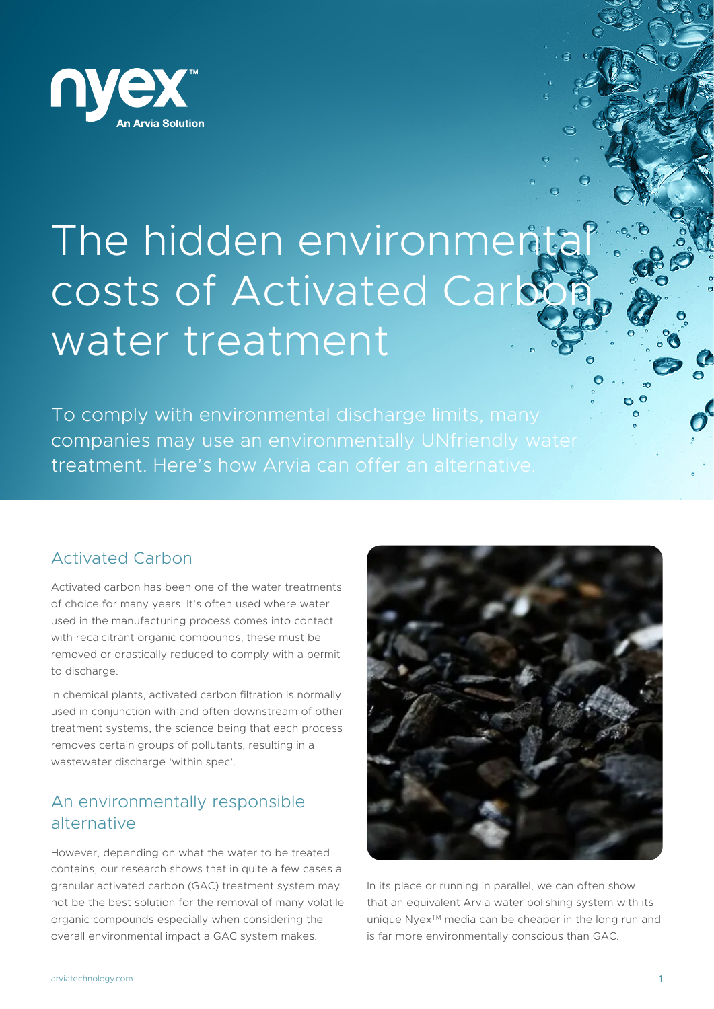

# The hidden environment costs of Activated Carb water treatment

To comply with environmental discharge limits, many companies may use an environmentally UNfriendly water treatment. Here's how Arvia can offer an alternative.

## Activated Carbon

Activated carbon has been one of the water treatments of choice for many years. It's often used where water used in the manufacturing process comes into contact with recalcitrant organic compounds; these must be removed or drastically reduced to comply with a permit to discharge.

In chemical plants, activated carbon filtration is normally used in conjunction with and often downstream of other treatment systems, the science being that each process removes certain groups of pollutants, resulting in a wastewater discharge 'within spec'.

## An environmentally responsible alternative

However, depending on what the water to be treated contains, our research shows that in quite a few cases a granular activated carbon (GAC) treatment system may not be the best solution for the removal of many volatile organic compounds especially when considering the overall environmental impact a GAC system makes.



In its place or running in parallel, we can often show that an equivalent Arvia water polishing system with its unique Nyex™ media can be cheaper in the long run and is far more environmentally conscious than GAC.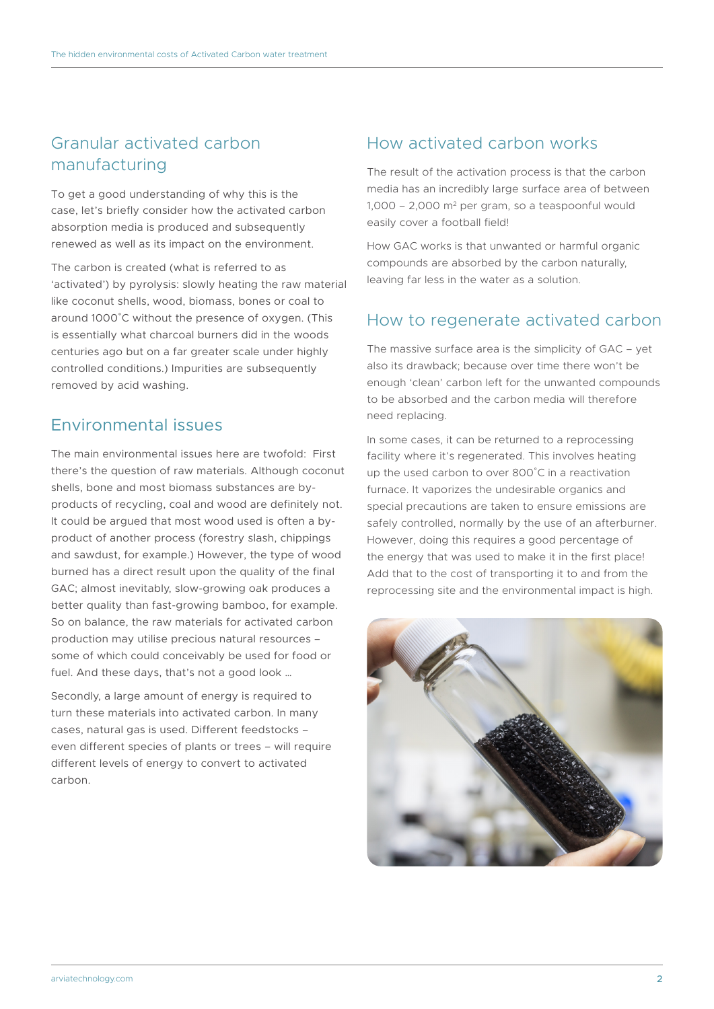### Granular activated carbon manufacturing

To get a good understanding of why this is the case, let's briefly consider how the activated carbon absorption media is produced and subsequently renewed as well as its impact on the environment.

The carbon is created (what is referred to as 'activated') by pyrolysis: slowly heating the raw material like coconut shells, wood, biomass, bones or coal to around 1000˚C without the presence of oxygen. (This is essentially what charcoal burners did in the woods centuries ago but on a far greater scale under highly controlled conditions.) Impurities are subsequently removed by acid washing.

#### Environmental issues

The main environmental issues here are twofold: First there's the question of raw materials. Although coconut shells, bone and most biomass substances are byproducts of recycling, coal and wood are definitely not. It could be argued that most wood used is often a byproduct of another process (forestry slash, chippings and sawdust, for example.) However, the type of wood burned has a direct result upon the quality of the final GAC; almost inevitably, slow-growing oak produces a better quality than fast-growing bamboo, for example. So on balance, the raw materials for activated carbon production may utilise precious natural resources – some of which could conceivably be used for food or fuel. And these days, that's not a good look …

Secondly, a large amount of energy is required to turn these materials into activated carbon. In many cases, natural gas is used. Different feedstocks – even different species of plants or trees – will require different levels of energy to convert to activated carbon.

## How activated carbon works

The result of the activation process is that the carbon media has an incredibly large surface area of between  $1,000 - 2,000$  m<sup>2</sup> per gram, so a teaspoonful would easily cover a football field!

How GAC works is that unwanted or harmful organic compounds are absorbed by the carbon naturally, leaving far less in the water as a solution.

## How to regenerate activated carbon

The massive surface area is the simplicity of GAC – yet also its drawback; because over time there won't be enough 'clean' carbon left for the unwanted compounds to be absorbed and the carbon media will therefore need replacing.

In some cases, it can be returned to a reprocessing facility where it's regenerated. This involves heating up the used carbon to over 800˚C in a reactivation furnace. It vaporizes the undesirable organics and special precautions are taken to ensure emissions are safely controlled, normally by the use of an afterburner. However, doing this requires a good percentage of the energy that was used to make it in the first place! Add that to the cost of transporting it to and from the reprocessing site and the environmental impact is high.

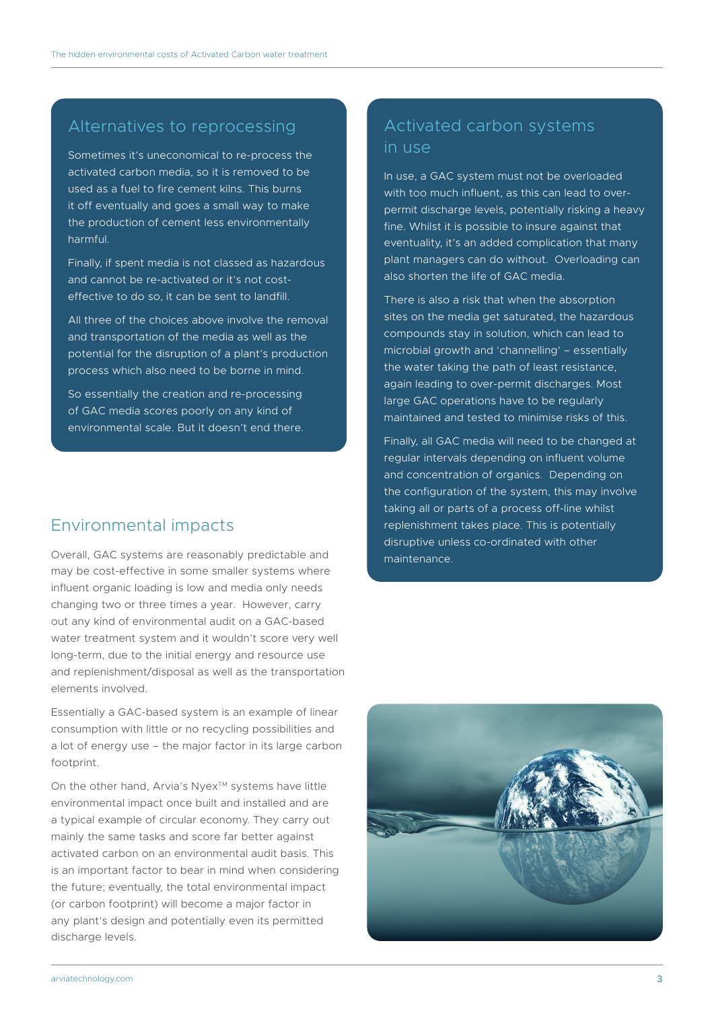#### Alternatives to reprocessing

Sometimes it's uneconomical to re-process the activated carbon media, so it is removed to be used as a fuel to fire cement kilns. This burns it off eventually and goes a small way to make the production of cement less environmentally harmful.

Finally, if spent media is not classed as hazardous and cannot be re-activated or it's not costeffective to do so, it can be sent to landfill.

All three of the choices above involve the removal and transportation of the media as well as the potential for the disruption of a plant's production process which also need to be borne in mind.

So essentially the creation and re-processing of GAC media scores poorly on any kind of environmental scale. But it doesn't end there.

#### Environmental impacts

Overall, GAC systems are reasonably predictable and may be cost-effective in some smaller systems where influent organic loading is low and media only needs changing two or three times a year. However, carry out any kind of environmental audit on a GAC-based water treatment system and it wouldn't score very well long-term, due to the initial energy and resource use and replenishment/disposal as well as the transportation elements involved.

Essentially a GAC-based system is an example of linear consumption with little or no recycling possibilities and a lot of energy use – the major factor in its large carbon footprint.

On the other hand, Arvia's Nyex™ systems have little environmental impact once built and installed and are a typical example of circular economy. They carry out mainly the same tasks and score far better against activated carbon on an environmental audit basis. This is an important factor to bear in mind when considering the future; eventually, the total environmental impact (or carbon footprint) will become a major factor in any plant's design and potentially even its permitted discharge levels.

## Activated carbon systems in use

In use, a GAC system must not be overloaded with too much influent, as this can lead to overpermit discharge levels, potentially risking a heavy fine. Whilst it is possible to insure against that eventuality, it's an added complication that many plant managers can do without. Overloading can also shorten the life of GAC media.

There is also a risk that when the absorption sites on the media get saturated, the hazardous compounds stay in solution, which can lead to microbial growth and 'channelling' – essentially the water taking the path of least resistance, again leading to over-permit discharges. Most large GAC operations have to be regularly maintained and tested to minimise risks of this.

Finally, all GAC media will need to be changed at regular intervals depending on influent volume and concentration of organics. Depending on the configuration of the system, this may involve taking all or parts of a process off-line whilst replenishment takes place. This is potentially disruptive unless co-ordinated with other maintenance.